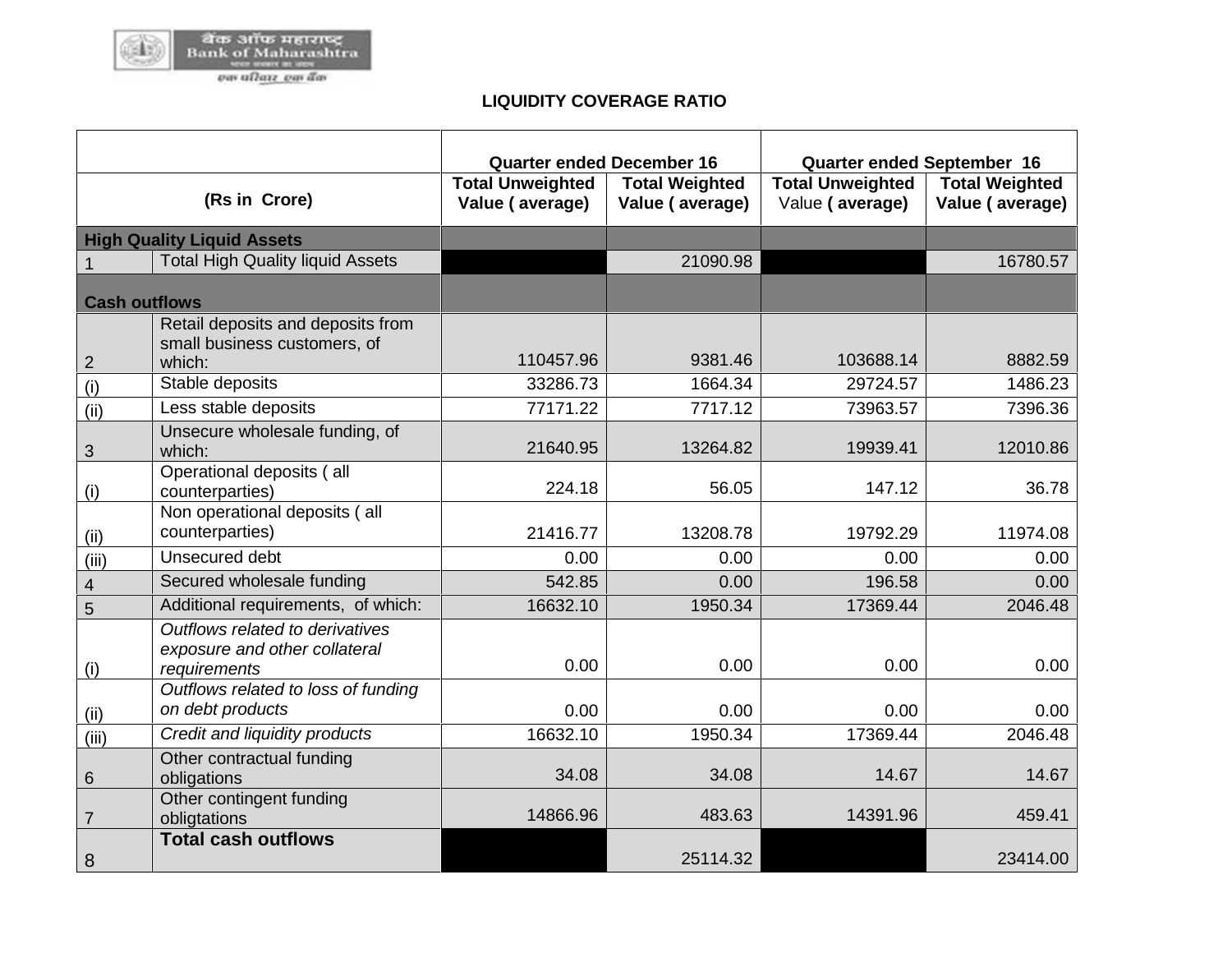

## **LIQUIDITY COVERAGE RATIO**

|                      |                                                                                  | <b>Quarter ended December 16</b>           |                                          | <b>Quarter ended September 16</b>          |                                          |
|----------------------|----------------------------------------------------------------------------------|--------------------------------------------|------------------------------------------|--------------------------------------------|------------------------------------------|
|                      | (Rs in Crore)                                                                    | <b>Total Unweighted</b><br>Value (average) | <b>Total Weighted</b><br>Value (average) | <b>Total Unweighted</b><br>Value (average) | <b>Total Weighted</b><br>Value (average) |
|                      | <b>High Quality Liquid Assets</b>                                                |                                            |                                          |                                            |                                          |
| 1                    | <b>Total High Quality liquid Assets</b>                                          |                                            | 21090.98                                 |                                            | 16780.57                                 |
| <b>Cash outflows</b> |                                                                                  |                                            |                                          |                                            |                                          |
|                      | Retail deposits and deposits from<br>small business customers, of                |                                            |                                          |                                            |                                          |
| 2                    | which:                                                                           | 110457.96                                  | 9381.46                                  | 103688.14                                  | 8882.59                                  |
| (i)                  | Stable deposits                                                                  | 33286.73                                   | 1664.34                                  | 29724.57                                   | 1486.23                                  |
| (ii)                 | Less stable deposits                                                             | 77171.22                                   | 7717.12                                  | 73963.57                                   | 7396.36                                  |
| 3                    | Unsecure wholesale funding, of<br>which:                                         | 21640.95                                   | 13264.82                                 | 19939.41                                   | 12010.86                                 |
| (i)                  | Operational deposits (all<br>counterparties)                                     | 224.18                                     | 56.05                                    | 147.12                                     | 36.78                                    |
| (ii)                 | Non operational deposits (all<br>counterparties)                                 | 21416.77                                   | 13208.78                                 | 19792.29                                   | 11974.08                                 |
| (iii)                | Unsecured debt                                                                   | 0.00                                       | 0.00                                     | 0.00                                       | 0.00                                     |
| $\overline{4}$       | Secured wholesale funding                                                        | 542.85                                     | 0.00                                     | 196.58                                     | 0.00                                     |
| 5                    | Additional requirements, of which:                                               | 16632.10                                   | 1950.34                                  | 17369.44                                   | 2046.48                                  |
| (i)                  | Outflows related to derivatives<br>exposure and other collateral<br>requirements | 0.00                                       | 0.00                                     | 0.00                                       | 0.00                                     |
| (ii)                 | Outflows related to loss of funding<br>on debt products                          | 0.00                                       | 0.00                                     | 0.00                                       | 0.00                                     |
| (iii)                | Credit and liquidity products                                                    | 16632.10                                   | 1950.34                                  | 17369.44                                   | 2046.48                                  |
| 6                    | Other contractual funding<br>obligations                                         | 34.08                                      | 34.08                                    | 14.67                                      | 14.67                                    |
| $\overline{7}$       | Other contingent funding<br>obligtations                                         | 14866.96                                   | 483.63                                   | 14391.96                                   | 459.41                                   |
| 8                    | <b>Total cash outflows</b>                                                       |                                            | 25114.32                                 |                                            | 23414.00                                 |